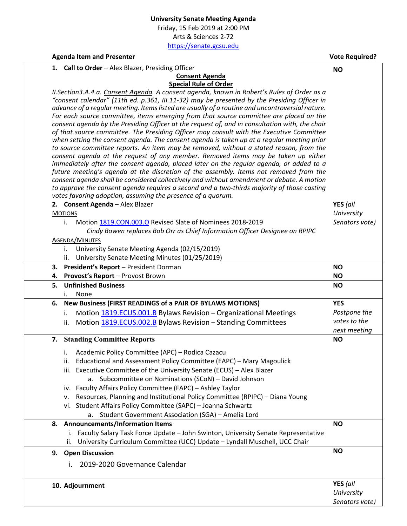Friday, 15 Feb 2019 at 2:00 PM Arts & Sciences 2‐72 https://senate.gcsu.edu

Agenda Item and Presenter *Agenda* Item and Presenter *Agenda* Item and Presenter *Vote Required?* 

|    | 1. Call to Order - Alex Blazer, Presiding Officer                                               | <b>NO</b>                    |
|----|-------------------------------------------------------------------------------------------------|------------------------------|
|    | <b>Consent Agenda</b>                                                                           |                              |
|    | <b>Special Rule of Order</b>                                                                    |                              |
|    | II. Section 3.A.4.a. Consent Agenda. A consent agenda, known in Robert's Rules of Order as a    |                              |
|    | "consent calendar" (11th ed. p.361, III.11-32) may be presented by the Presiding Officer in     |                              |
|    | advance of a regular meeting. Items listed are usually of a routine and uncontroversial nature. |                              |
|    | For each source committee, items emerging from that source committee are placed on the          |                              |
|    | consent agenda by the Presiding Officer at the request of, and in consultation with, the chair  |                              |
|    | of that source committee. The Presiding Officer may consult with the Executive Committee        |                              |
|    | when setting the consent agenda. The consent agenda is taken up at a regular meeting prior      |                              |
|    | to source committee reports. An item may be removed, without a stated reason, from the          |                              |
|    | consent agenda at the request of any member. Removed items may be taken up either               |                              |
|    | immediately after the consent agenda, placed later on the regular agenda, or added to a         |                              |
|    | future meeting's agenda at the discretion of the assembly. Items not removed from the           |                              |
|    | consent agenda shall be considered collectively and without amendment or debate. A motion       |                              |
|    | to approve the consent agenda requires a second and a two-thirds majority of those casting      |                              |
|    | votes favoring adoption, assuming the presence of a quorum.                                     |                              |
|    | 2. Consent Agenda - Alex Blazer                                                                 | YES (all                     |
|    | <b>MOTIONS</b>                                                                                  | University                   |
|    | Motion 1819.CON.003.O Revised Slate of Nominees 2018-2019<br>i.                                 | Senators vote)               |
|    |                                                                                                 |                              |
|    | Cindy Bowen replaces Bob Orr as Chief Information Officer Designee on RPIPC                     |                              |
|    | <b>AGENDA/MINUTES</b>                                                                           |                              |
|    | University Senate Meeting Agenda (02/15/2019)<br>i.                                             |                              |
|    | University Senate Meeting Minutes (01/25/2019)<br>ii.                                           |                              |
|    | 3. President's Report - President Dorman                                                        | <b>NO</b>                    |
|    | 4. Provost's Report - Provost Brown                                                             | <b>NO</b>                    |
| 5. | <b>Unfinished Business</b>                                                                      | <b>NO</b>                    |
|    |                                                                                                 |                              |
|    |                                                                                                 |                              |
|    | None<br>İ.                                                                                      |                              |
|    | 6. New Business (FIRST READINGS of a PAIR OF BYLAWS MOTIONS)                                    | <b>YES</b>                   |
|    | Motion 1819.ECUS.001.B Bylaws Revision - Organizational Meetings<br>i.                          | Postpone the                 |
|    | Motion 1819.ECUS.002.B Bylaws Revision - Standing Committees<br>ii.                             | votes to the                 |
|    |                                                                                                 | next meeting                 |
|    | 7. Standing Committee Reports                                                                   | <b>NO</b>                    |
|    |                                                                                                 |                              |
|    | Academic Policy Committee (APC) - Rodica Cazacu<br>i.                                           |                              |
|    | ii. Educational and Assessment Policy Committee (EAPC) - Mary Magoulick                         |                              |
|    | iii. Executive Committee of the University Senate (ECUS) - Alex Blazer                          |                              |
|    | a. Subcommittee on Nominations (SCoN) - David Johnson                                           |                              |
|    | iv. Faculty Affairs Policy Committee (FAPC) - Ashley Taylor                                     |                              |
|    | Resources, Planning and Institutional Policy Committee (RPIPC) - Diana Young<br>۷.              |                              |
|    | vi. Student Affairs Policy Committee (SAPC) - Joanna Schwartz                                   |                              |
|    |                                                                                                 |                              |
|    | Student Government Association (SGA) - Amelia Lord<br>a.                                        |                              |
| 8. | <b>Announcements/Information Items</b>                                                          | <b>NO</b>                    |
|    | Faculty Salary Task Force Update - John Swinton, University Senate Representative<br>Ι.         |                              |
|    | University Curriculum Committee (UCC) Update - Lyndall Muschell, UCC Chair<br>ii.               |                              |
| 9. | <b>Open Discussion</b>                                                                          | <b>NO</b>                    |
|    |                                                                                                 |                              |
|    | 2019-2020 Governance Calendar                                                                   |                              |
|    |                                                                                                 |                              |
|    | 10. Adjournment                                                                                 | YES (all                     |
|    |                                                                                                 | University<br>Senators vote) |